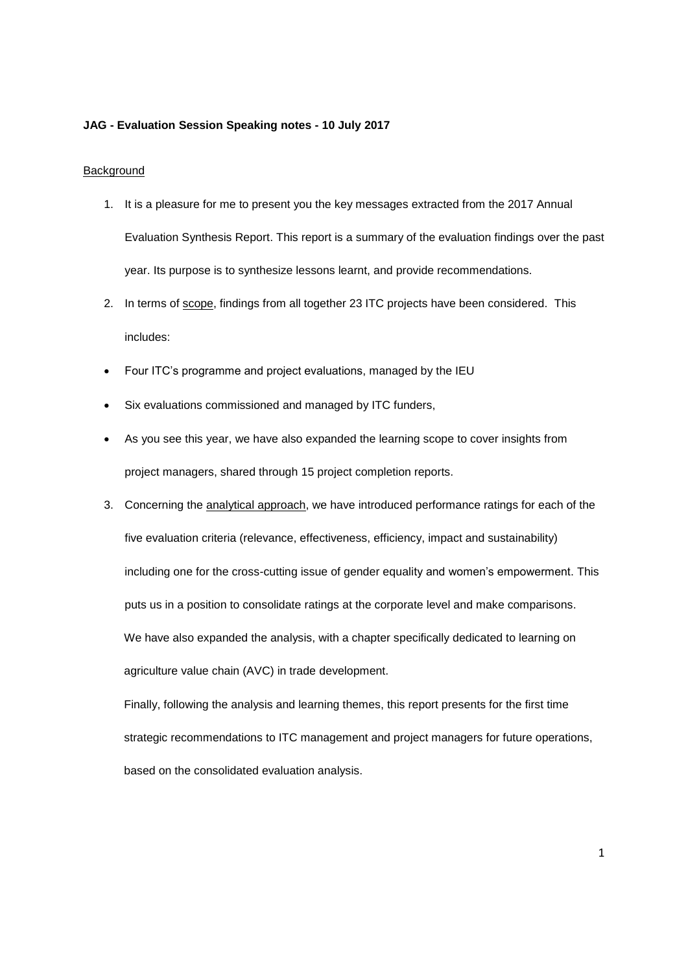## **JAG - Evaluation Session Speaking notes - 10 July 2017**

## Background

- 1. It is a pleasure for me to present you the key messages extracted from the 2017 Annual Evaluation Synthesis Report. This report is a summary of the evaluation findings over the past year. Its purpose is to synthesize lessons learnt, and provide recommendations.
- 2. In terms of scope, findings from all together 23 ITC projects have been considered. This includes:
- Four ITC's programme and project evaluations, managed by the IEU
- Six evaluations commissioned and managed by ITC funders,
- As you see this year, we have also expanded the learning scope to cover insights from project managers, shared through 15 project completion reports.
- 3. Concerning the analytical approach, we have introduced performance ratings for each of the five evaluation criteria (relevance, effectiveness, efficiency, impact and sustainability) including one for the cross-cutting issue of gender equality and women's empowerment. This puts us in a position to consolidate ratings at the corporate level and make comparisons. We have also expanded the analysis, with a chapter specifically dedicated to learning on agriculture value chain (AVC) in trade development.

Finally, following the analysis and learning themes, this report presents for the first time strategic recommendations to ITC management and project managers for future operations, based on the consolidated evaluation analysis.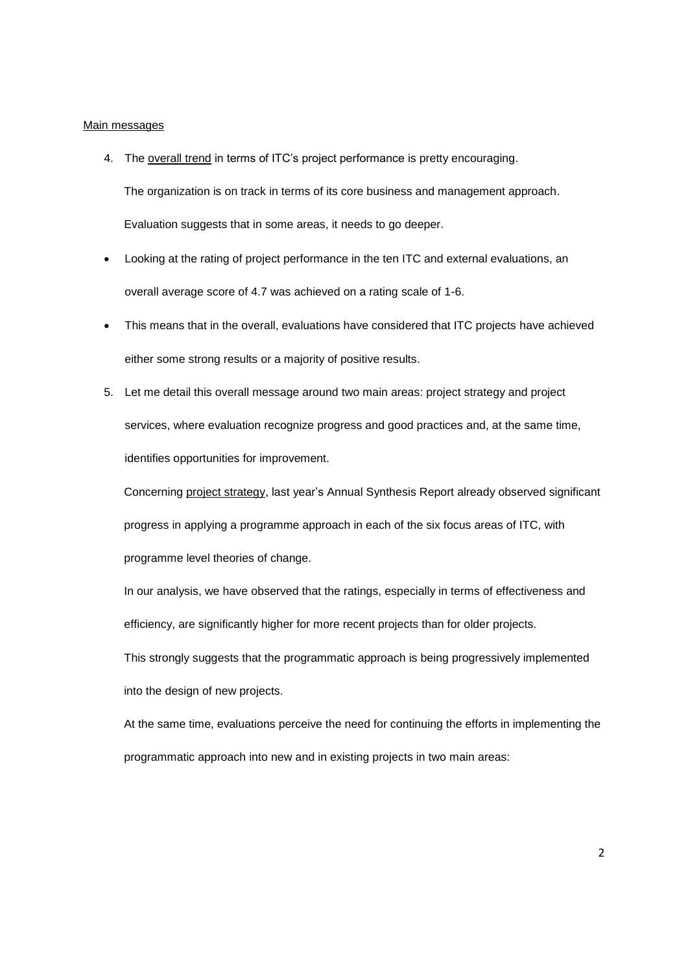## Main messages

4. The overall trend in terms of ITC's project performance is pretty encouraging.

The organization is on track in terms of its core business and management approach. Evaluation suggests that in some areas, it needs to go deeper.

- Looking at the rating of project performance in the ten ITC and external evaluations, an overall average score of 4.7 was achieved on a rating scale of 1-6.
- This means that in the overall, evaluations have considered that ITC projects have achieved either some strong results or a majority of positive results.
- 5. Let me detail this overall message around two main areas: project strategy and project services, where evaluation recognize progress and good practices and, at the same time, identifies opportunities for improvement.

Concerning project strategy, last year's Annual Synthesis Report already observed significant progress in applying a programme approach in each of the six focus areas of ITC, with programme level theories of change.

In our analysis, we have observed that the ratings, especially in terms of effectiveness and efficiency, are significantly higher for more recent projects than for older projects.

This strongly suggests that the programmatic approach is being progressively implemented into the design of new projects.

At the same time, evaluations perceive the need for continuing the efforts in implementing the programmatic approach into new and in existing projects in two main areas: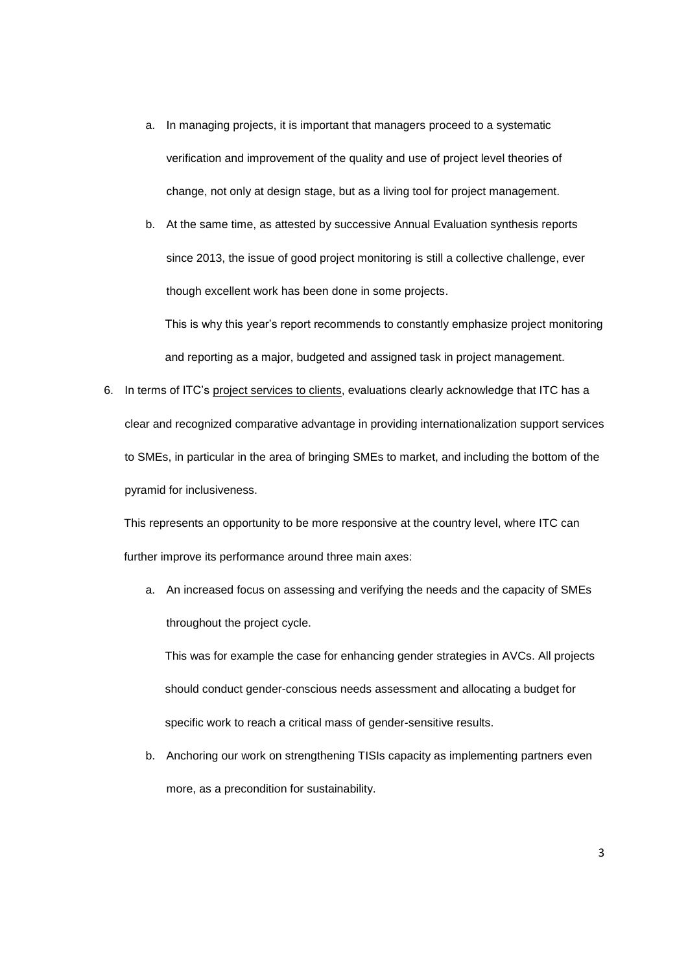a. In managing projects, it is important that managers proceed to a systematic verification and improvement of the quality and use of project level theories of change, not only at design stage, but as a living tool for project management.

b. At the same time, as attested by successive Annual Evaluation synthesis reports since 2013, the issue of good project monitoring is still a collective challenge, ever though excellent work has been done in some projects.

This is why this year's report recommends to constantly emphasize project monitoring and reporting as a major, budgeted and assigned task in project management.

6. In terms of ITC's project services to clients, evaluations clearly acknowledge that ITC has a clear and recognized comparative advantage in providing internationalization support services to SMEs, in particular in the area of bringing SMEs to market, and including the bottom of the pyramid for inclusiveness.

This represents an opportunity to be more responsive at the country level, where ITC can further improve its performance around three main axes:

a. An increased focus on assessing and verifying the needs and the capacity of SMEs throughout the project cycle.

This was for example the case for enhancing gender strategies in AVCs. All projects should conduct gender-conscious needs assessment and allocating a budget for specific work to reach a critical mass of gender-sensitive results.

b. Anchoring our work on strengthening TISIs capacity as implementing partners even more, as a precondition for sustainability.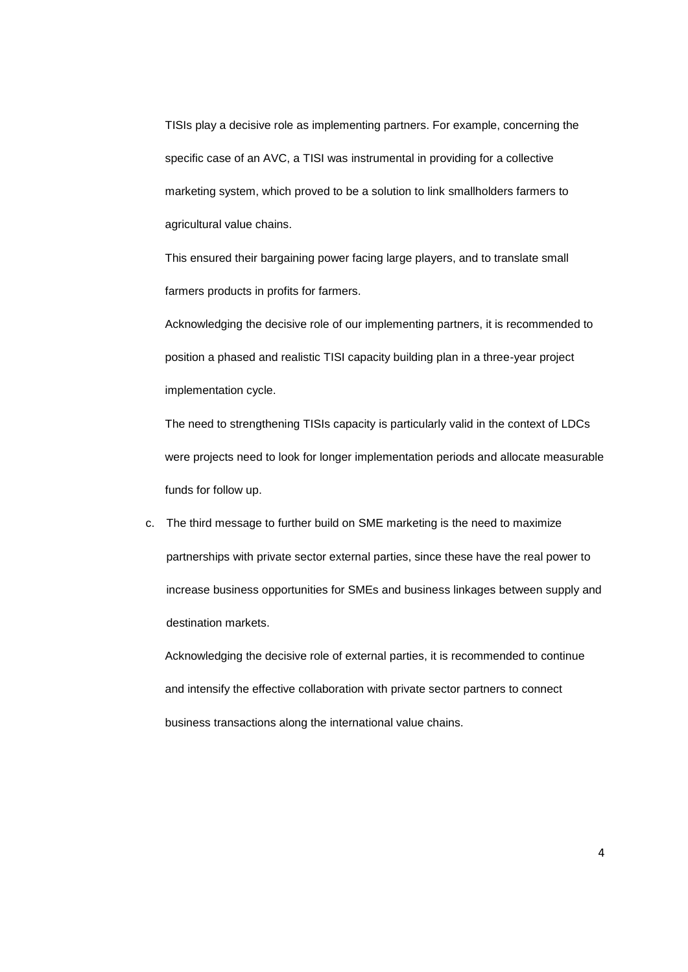TISIs play a decisive role as implementing partners. For example, concerning the specific case of an AVC, a TISI was instrumental in providing for a collective marketing system, which proved to be a solution to link smallholders farmers to agricultural value chains.

This ensured their bargaining power facing large players, and to translate small farmers products in profits for farmers.

Acknowledging the decisive role of our implementing partners, it is recommended to position a phased and realistic TISI capacity building plan in a three-year project implementation cycle.

The need to strengthening TISIs capacity is particularly valid in the context of LDCs were projects need to look for longer implementation periods and allocate measurable funds for follow up.

c. The third message to further build on SME marketing is the need to maximize partnerships with private sector external parties, since these have the real power to increase business opportunities for SMEs and business linkages between supply and destination markets.

Acknowledging the decisive role of external parties, it is recommended to continue and intensify the effective collaboration with private sector partners to connect business transactions along the international value chains.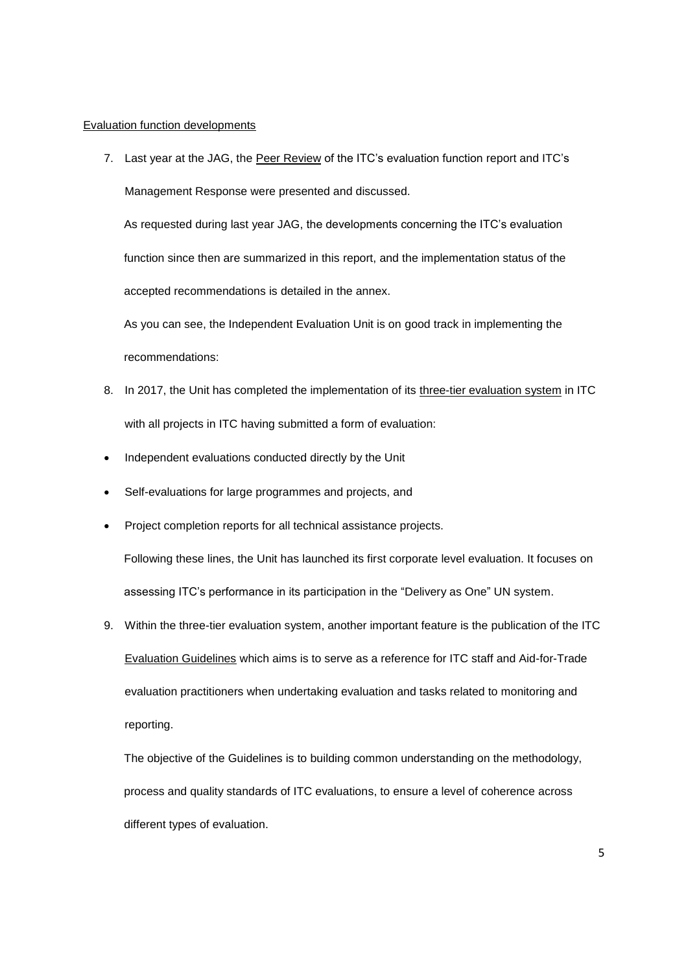## Evaluation function developments

7. Last year at the JAG, the Peer Review of the ITC's evaluation function report and ITC's Management Response were presented and discussed.

As requested during last year JAG, the developments concerning the ITC's evaluation function since then are summarized in this report, and the implementation status of the accepted recommendations is detailed in the annex.

As you can see, the Independent Evaluation Unit is on good track in implementing the recommendations:

- 8. In 2017, the Unit has completed the implementation of its three-tier evaluation system in ITC with all projects in ITC having submitted a form of evaluation:
- Independent evaluations conducted directly by the Unit
- Self-evaluations for large programmes and projects, and
- Project completion reports for all technical assistance projects.

Following these lines, the Unit has launched its first corporate level evaluation. It focuses on assessing ITC's performance in its participation in the "Delivery as One" UN system.

9. Within the three-tier evaluation system, another important feature is the publication of the ITC Evaluation Guidelines which aims is to serve as a reference for ITC staff and Aid-for-Trade evaluation practitioners when undertaking evaluation and tasks related to monitoring and reporting.

The objective of the Guidelines is to building common understanding on the methodology, process and quality standards of ITC evaluations, to ensure a level of coherence across different types of evaluation.